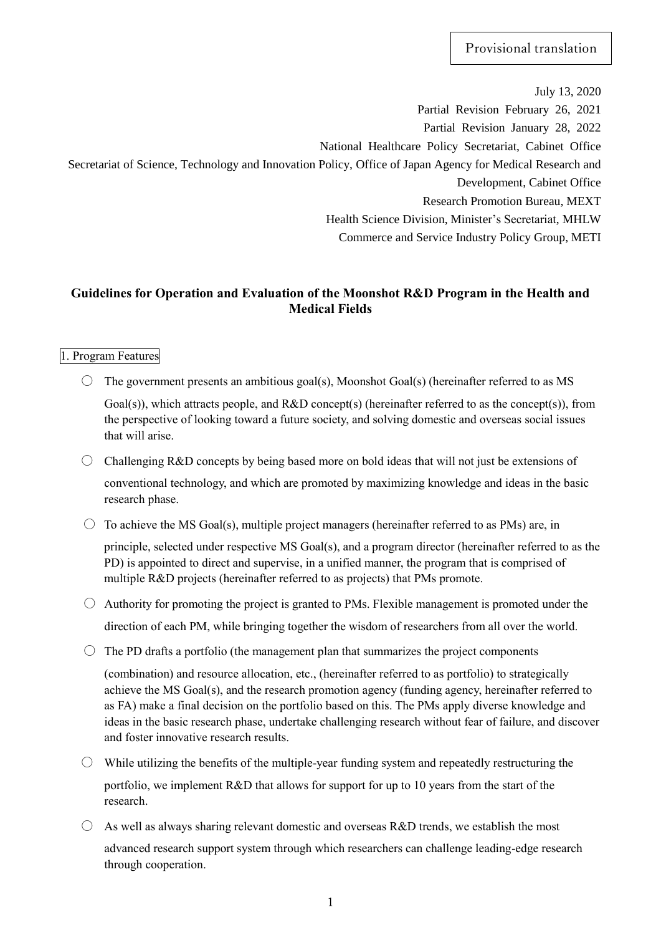July 13, 2020 Partial Revision February 26, 2021 Partial Revision January 28, 2022 National Healthcare Policy Secretariat, Cabinet Office Secretariat of Science, Technology and Innovation Policy, Office of Japan Agency for Medical Research and Development, Cabinet Office Research Promotion Bureau, MEXT Health Science Division, Minister's Secretariat, MHLW Commerce and Service Industry Policy Group, METI

# **Guidelines for Operation and Evaluation of the Moonshot R&D Program in the Health and Medical Fields**

## 1. Program Features

 $\circ$  The government presents an ambitious goal(s), Moonshot Goal(s) (hereinafter referred to as MS

Goal(s)), which attracts people, and R&D concept(s) (hereinafter referred to as the concept(s)), from the perspective of looking toward a future society, and solving domestic and overseas social issues that will arise.

- $\bigcirc$  Challenging R&D concepts by being based more on bold ideas that will not just be extensions of conventional technology, and which are promoted by maximizing knowledge and ideas in the basic research phase.
- $\circ$  To achieve the MS Goal(s), multiple project managers (hereinafter referred to as PMs) are, in

principle, selected under respective MS Goal(s), and a program director (hereinafter referred to as the PD) is appointed to direct and supervise, in a unified manner, the program that is comprised of multiple R&D projects (hereinafter referred to as projects) that PMs promote.

- $\circ$  Authority for promoting the project is granted to PMs. Flexible management is promoted under the direction of each PM, while bringing together the wisdom of researchers from all over the world.
- $\circ$  The PD drafts a portfolio (the management plan that summarizes the project components

(combination) and resource allocation, etc., (hereinafter referred to as portfolio) to strategically achieve the MS Goal(s), and the research promotion agency (funding agency, hereinafter referred to as FA) make a final decision on the portfolio based on this. The PMs apply diverse knowledge and ideas in the basic research phase, undertake challenging research without fear of failure, and discover and foster innovative research results.

- $\circ$  While utilizing the benefits of the multiple-year funding system and repeatedly restructuring the portfolio, we implement R&D that allows for support for up to 10 years from the start of the research.
- $\bigcirc$  As well as always sharing relevant domestic and overseas R&D trends, we establish the most advanced research support system through which researchers can challenge leading-edge research through cooperation.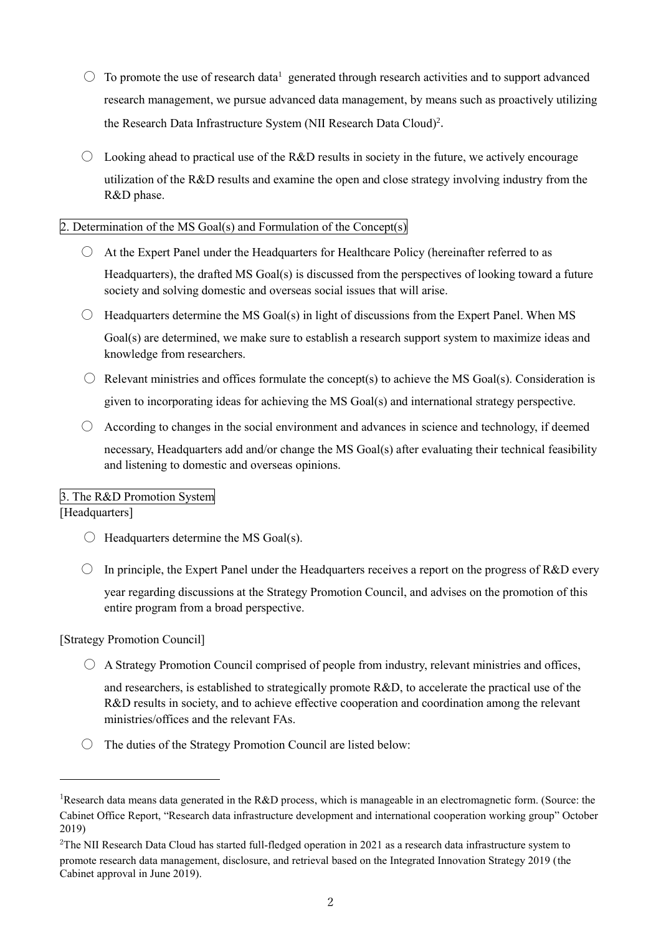- $\circ$  To promote the use of research data<sup>1</sup> generated through research activities and to support advanced research management, we pursue advanced data management, by means such as proactively utilizing the Research Data Infrastructure System (NII Research Data Cloud)<sup>2</sup>.
- $\circ$  Looking ahead to practical use of the R&D results in society in the future, we actively encourage utilization of the R&D results and examine the open and close strategy involving industry from the R&D phase.

#### Determination of the MS Goal(s) and Formulation of the Concept(s)

- $\circ$  At the Expert Panel under the Headquarters for Healthcare Policy (hereinafter referred to as Headquarters), the drafted MS Goal(s) is discussed from the perspectives of looking toward a future society and solving domestic and overseas social issues that will arise.
- $\bigcirc$  Headquarters determine the MS Goal(s) in light of discussions from the Expert Panel. When MS Goal(s) are determined, we make sure to establish a research support system to maximize ideas and knowledge from researchers.
- $\circ$  Relevant ministries and offices formulate the concept(s) to achieve the MS Goal(s). Consideration is given to incorporating ideas for achieving the MS Goal(s) and international strategy perspective.
- $\circ$  According to changes in the social environment and advances in science and technology, if deemed necessary, Headquarters add and/or change the MS Goal(s) after evaluating their technical feasibility and listening to domestic and overseas opinions.

## 3. The R&D Promotion System

## [Headquarters]

j

- $\bigcirc$  Headquarters determine the MS Goal(s).
- $\circ$  In principle, the Expert Panel under the Headquarters receives a report on the progress of R&D every year regarding discussions at the Strategy Promotion Council, and advises on the promotion of this entire program from a broad perspective.

[Strategy Promotion Council]

- $\circ$  A Strategy Promotion Council comprised of people from industry, relevant ministries and offices, and researchers, is established to strategically promote R&D, to accelerate the practical use of the R&D results in society, and to achieve effective cooperation and coordination among the relevant ministries/offices and the relevant FAs.
- $\bigcirc$  The duties of the Strategy Promotion Council are listed below:

<sup>1</sup>Research data means data generated in the R&D process, which is manageable in an electromagnetic form. (Source: the Cabinet Office Report, "Research data infrastructure development and international cooperation working group" October 2019)

<sup>&</sup>lt;sup>2</sup>The NII Research Data Cloud has started full-fledged operation in 2021 as a research data infrastructure system to promote research data management, disclosure, and retrieval based on the Integrated Innovation Strategy 2019 (the Cabinet approval in June 2019).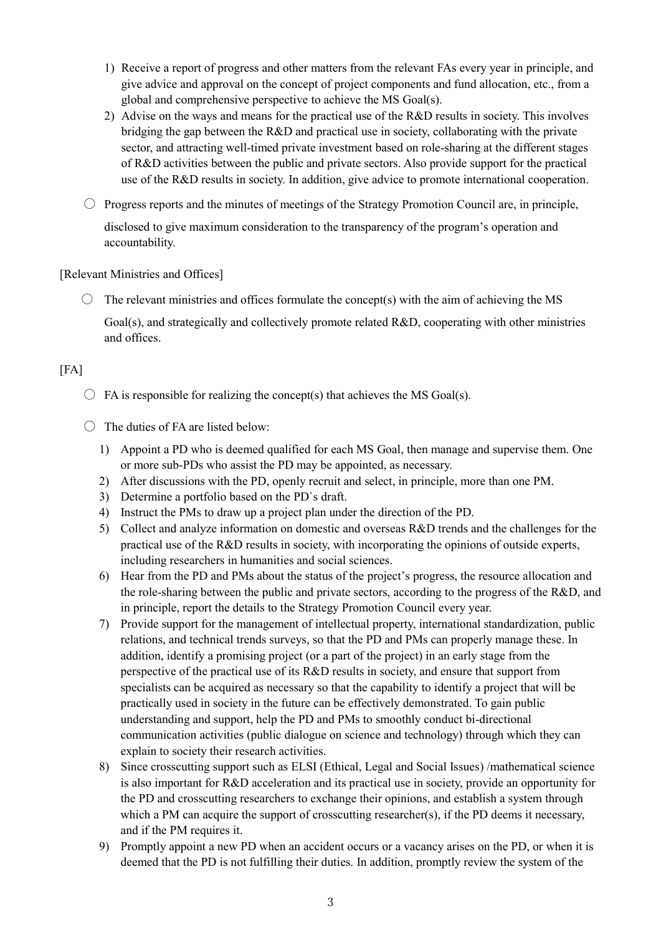- 1) Receive a report of progress and other matters from the relevant FAs every year in principle, and give advice and approval on the concept of project components and fund allocation, etc., from a global and comprehensive perspective to achieve the MS Goal(s).
- 2) Advise on the ways and means for the practical use of the R&D results in society. This involves bridging the gap between the R&D and practical use in society, collaborating with the private sector, and attracting well-timed private investment based on role-sharing at the different stages of R&D activities between the public and private sectors. Also provide support for the practical use of the R&D results in society. In addition, give advice to promote international cooperation.
- $\circ$  Progress reports and the minutes of meetings of the Strategy Promotion Council are, in principle, disclosed to give maximum consideration to the transparency of the program's operation and accountability.

#### [Relevant Ministries and Offices]

 $\circ$  The relevant ministries and offices formulate the concept(s) with the aim of achieving the MS Goal(s), and strategically and collectively promote related R&D, cooperating with other ministries and offices.

## $[FA]$

- $\bigcirc$  FA is responsible for realizing the concept(s) that achieves the MS Goal(s).
- $\bigcirc$  The duties of FA are listed below:
	- 1) Appoint a PD who is deemed qualified for each MS Goal, then manage and supervise them. One or more sub-PDs who assist the PD may be appointed, as necessary.
	- 2) After discussions with the PD, openly recruit and select, in principle, more than one PM.
	- 3) Determine a portfolio based on the PD`s draft.
	- 4) Instruct the PMs to draw up a project plan under the direction of the PD.
	- 5) Collect and analyze information on domestic and overseas R&D trends and the challenges for the practical use of the R&D results in society, with incorporating the opinions of outside experts, including researchers in humanities and social sciences.
	- 6) Hear from the PD and PMs about the status of the project's progress, the resource allocation and the role-sharing between the public and private sectors, according to the progress of the R&D, and in principle, report the details to the Strategy Promotion Council every year.
	- 7) Provide support for the management of intellectual property, international standardization, public relations, and technical trends surveys, so that the PD and PMs can properly manage these. In addition, identify a promising project (or a part of the project) in an early stage from the perspective of the practical use of its R&D results in society, and ensure that support from specialists can be acquired as necessary so that the capability to identify a project that will be practically used in society in the future can be effectively demonstrated. To gain public understanding and support, help the PD and PMs to smoothly conduct bi-directional communication activities (public dialogue on science and technology) through which they can explain to society their research activities.
	- 8) Since crosscutting support such as ELSI (Ethical, Legal and Social Issues) /mathematical science is also important for R&D acceleration and its practical use in society, provide an opportunity for the PD and crosscutting researchers to exchange their opinions, and establish a system through which a PM can acquire the support of crosscutting researcher(s), if the PD deems it necessary, and if the PM requires it.
	- 9) Promptly appoint a new PD when an accident occurs or a vacancy arises on the PD, or when it is deemed that the PD is not fulfilling their duties. In addition, promptly review the system of the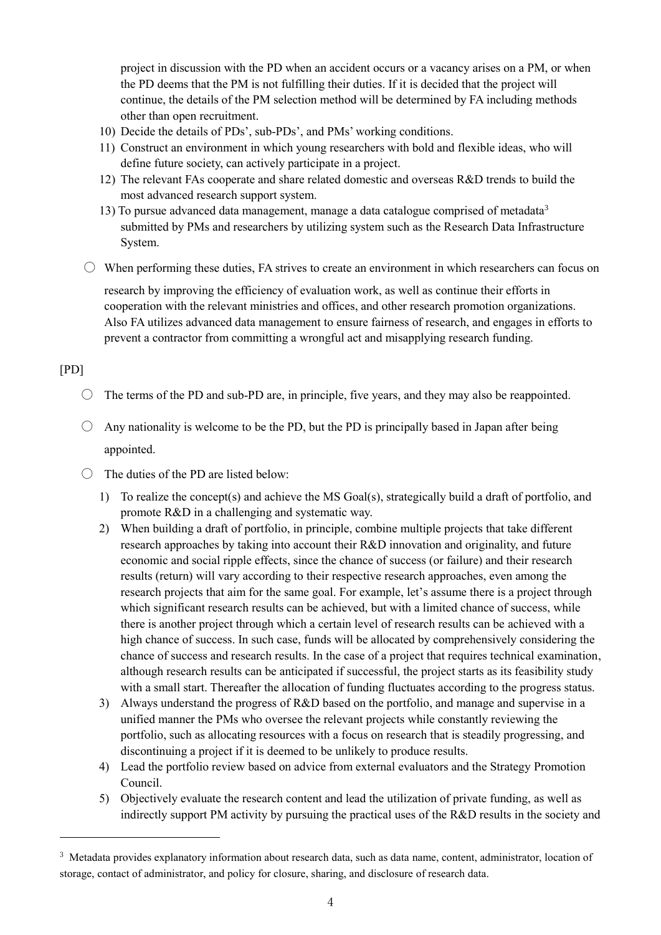project in discussion with the PD when an accident occurs or a vacancy arises on a PM, or when the PD deems that the PM is not fulfilling their duties. If it is decided that the project will continue, the details of the PM selection method will be determined by FA including methods other than open recruitment.

- 10) Decide the details of PDs', sub-PDs', and PMs' working conditions.
- 11) Construct an environment in which young researchers with bold and flexible ideas, who will define future society, can actively participate in a project.
- 12) The relevant FAs cooperate and share related domestic and overseas R&D trends to build the most advanced research support system.
- 13) To pursue advanced data management, manage a data catalogue comprised of metadata<sup>3</sup> submitted by PMs and researchers by utilizing system such as the Research Data Infrastructure System.
- $\circlearrowright$  When performing these duties, FA strives to create an environment in which researchers can focus on research by improving the efficiency of evaluation work, as well as continue their efforts in cooperation with the relevant ministries and offices, and other research promotion organizations. Also FA utilizes advanced data management to ensure fairness of research, and engages in efforts to prevent a contractor from committing a wrongful act and misapplying research funding.

# [PD]

j

- $\circ$  The terms of the PD and sub-PD are, in principle, five years, and they may also be reappointed.
- $\bigcirc$  Any nationality is welcome to be the PD, but the PD is principally based in Japan after being appointed.
- $\bigcirc$  The duties of the PD are listed below:
	- 1) To realize the concept(s) and achieve the MS Goal(s), strategically build a draft of portfolio, and promote R&D in a challenging and systematic way.
	- 2) When building a draft of portfolio, in principle, combine multiple projects that take different research approaches by taking into account their R&D innovation and originality, and future economic and social ripple effects, since the chance of success (or failure) and their research results (return) will vary according to their respective research approaches, even among the research projects that aim for the same goal. For example, let's assume there is a project through which significant research results can be achieved, but with a limited chance of success, while there is another project through which a certain level of research results can be achieved with a high chance of success. In such case, funds will be allocated by comprehensively considering the chance of success and research results. In the case of a project that requires technical examination, although research results can be anticipated if successful, the project starts as its feasibility study with a small start. Thereafter the allocation of funding fluctuates according to the progress status.
	- 3) Always understand the progress of R&D based on the portfolio, and manage and supervise in a unified manner the PMs who oversee the relevant projects while constantly reviewing the portfolio, such as allocating resources with a focus on research that is steadily progressing, and discontinuing a project if it is deemed to be unlikely to produce results.
	- 4) Lead the portfolio review based on advice from external evaluators and the Strategy Promotion Council.
	- 5) Objectively evaluate the research content and lead the utilization of private funding, as well as indirectly support PM activity by pursuing the practical uses of the R&D results in the society and

<sup>&</sup>lt;sup>3</sup> Metadata provides explanatory information about research data, such as data name, content, administrator, location of storage, contact of administrator, and policy for closure, sharing, and disclosure of research data.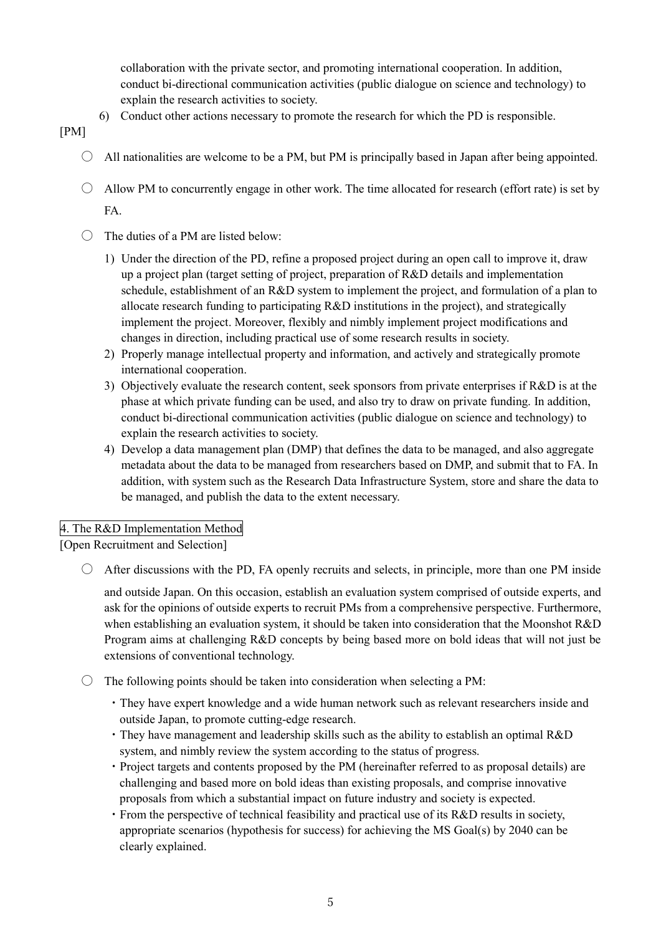collaboration with the private sector, and promoting international cooperation. In addition, conduct bi-directional communication activities (public dialogue on science and technology) to explain the research activities to society.

6) Conduct other actions necessary to promote the research for which the PD is responsible.

[PM]

- $\circ$  All nationalities are welcome to be a PM, but PM is principally based in Japan after being appointed.
- $\bigcirc$  Allow PM to concurrently engage in other work. The time allocated for research (effort rate) is set by FA.
- $\bigcirc$  The duties of a PM are listed below:
	- 1) Under the direction of the PD, refine a proposed project during an open call to improve it, draw up a project plan (target setting of project, preparation of R&D details and implementation schedule, establishment of an R&D system to implement the project, and formulation of a plan to allocate research funding to participating R&D institutions in the project), and strategically implement the project. Moreover, flexibly and nimbly implement project modifications and changes in direction, including practical use of some research results in society.
	- 2) Properly manage intellectual property and information, and actively and strategically promote international cooperation.
	- 3) Objectively evaluate the research content, seek sponsors from private enterprises if R&D is at the phase at which private funding can be used, and also try to draw on private funding. In addition, conduct bi-directional communication activities (public dialogue on science and technology) to explain the research activities to society.
	- 4) Develop a data management plan (DMP) that defines the data to be managed, and also aggregate metadata about the data to be managed from researchers based on DMP, and submit that to FA. In addition, with system such as the Research Data Infrastructure System, store and share the data to be managed, and publish the data to the extent necessary.

# 4. The R&D Implementation Method

[Open Recruitment and Selection]

 $\circ$  After discussions with the PD. FA openly recruits and selects, in principle, more than one PM inside

and outside Japan. On this occasion, establish an evaluation system comprised of outside experts, and ask for the opinions of outside experts to recruit PMs from a comprehensive perspective. Furthermore, when establishing an evaluation system, it should be taken into consideration that the Moonshot R&D Program aims at challenging R&D concepts by being based more on bold ideas that will not just be extensions of conventional technology.

- $\bigcirc$  The following points should be taken into consideration when selecting a PM:
	- ・They have expert knowledge and a wide human network such as relevant researchers inside and outside Japan, to promote cutting-edge research.
	- ・They have management and leadership skills such as the ability to establish an optimal R&D system, and nimbly review the system according to the status of progress.
	- ・Project targets and contents proposed by the PM (hereinafter referred to as proposal details) are challenging and based more on bold ideas than existing proposals, and comprise innovative proposals from which a substantial impact on future industry and society is expected.
	- ・From the perspective of technical feasibility and practical use of its R&D results in society, appropriate scenarios (hypothesis for success) for achieving the MS Goal(s) by 2040 can be clearly explained.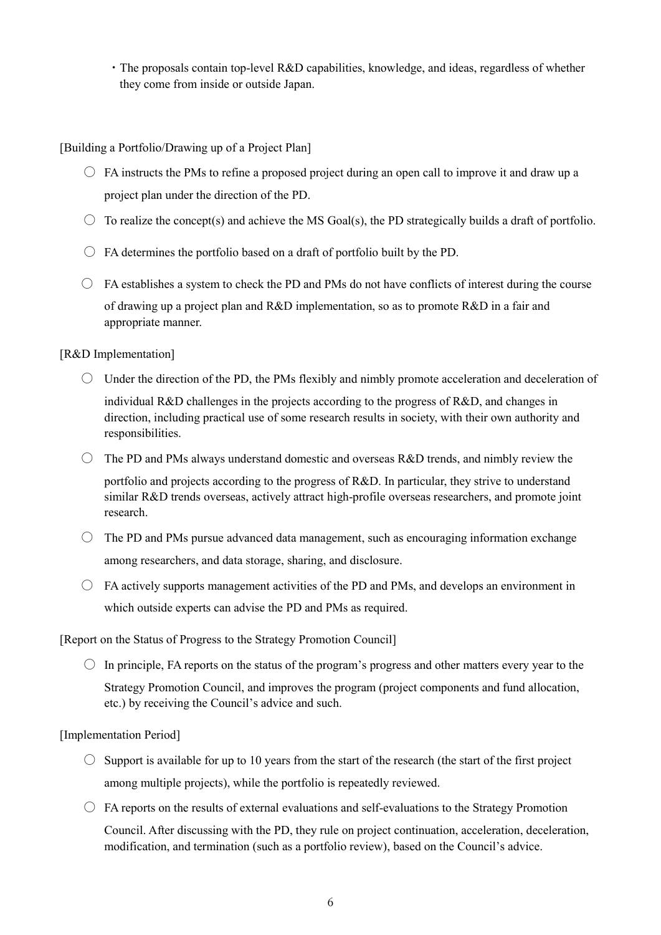・The proposals contain top-level R&D capabilities, knowledge, and ideas, regardless of whether they come from inside or outside Japan.

[Building a Portfolio/Drawing up of a Project Plan]

- $\circ$  FA instructs the PMs to refine a proposed project during an open call to improve it and draw up a project plan under the direction of the PD.
- $\circ$  To realize the concept(s) and achieve the MS Goal(s), the PD strategically builds a draft of portfolio.
- $\circ$  FA determines the portfolio based on a draft of portfolio built by the PD.
- $\circ$  FA establishes a system to check the PD and PMs do not have conflicts of interest during the course of drawing up a project plan and R&D implementation, so as to promote R&D in a fair and appropriate manner.

#### [R&D Implementation]

- $\circlearrowright$  Under the direction of the PD, the PMs flexibly and nimbly promote acceleration and deceleration of individual R&D challenges in the projects according to the progress of R&D, and changes in direction, including practical use of some research results in society, with their own authority and responsibilities.
- $\circ$  The PD and PMs always understand domestic and overseas R&D trends, and nimbly review the

portfolio and projects according to the progress of R&D. In particular, they strive to understand similar R&D trends overseas, actively attract high-profile overseas researchers, and promote joint research.

- $\bigcirc$  The PD and PMs pursue advanced data management, such as encouraging information exchange among researchers, and data storage, sharing, and disclosure.
- $\circ$  FA actively supports management activities of the PD and PMs, and develops an environment in which outside experts can advise the PD and PMs as required.

[Report on the Status of Progress to the Strategy Promotion Council]

 $\circ$  In principle, FA reports on the status of the program's progress and other matters every year to the Strategy Promotion Council, and improves the program (project components and fund allocation, etc.) by receiving the Council's advice and such.

#### [Implementation Period]

- $\circ$  Support is available for up to 10 years from the start of the research (the start of the first project among multiple projects), while the portfolio is repeatedly reviewed.
- $\circ$  FA reports on the results of external evaluations and self-evaluations to the Strategy Promotion

Council. After discussing with the PD, they rule on project continuation, acceleration, deceleration, modification, and termination (such as a portfolio review), based on the Council's advice.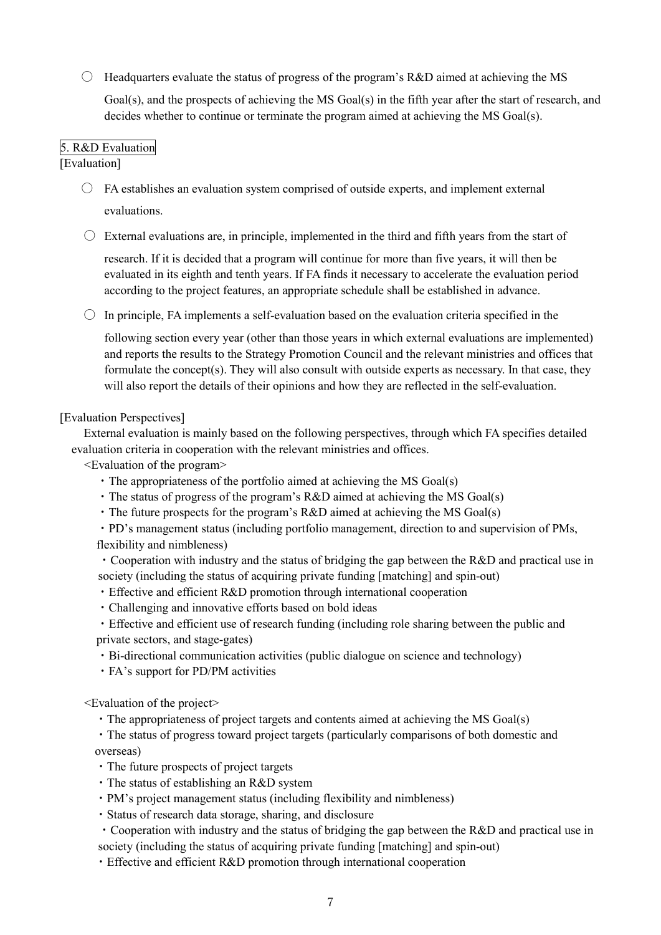$\circ$  Headquarters evaluate the status of progress of the program's R&D aimed at achieving the MS

Goal(s), and the prospects of achieving the MS Goal(s) in the fifth year after the start of research, and decides whether to continue or terminate the program aimed at achieving the MS Goal(s).

## 5. R&D Evaluation

#### [Evaluation]

 $\circ$  FA establishes an evaluation system comprised of outside experts, and implement external evaluations.

 $\circ$  External evaluations are, in principle, implemented in the third and fifth years from the start of

research. If it is decided that a program will continue for more than five years, it will then be evaluated in its eighth and tenth years. If FA finds it necessary to accelerate the evaluation period according to the project features, an appropriate schedule shall be established in advance.

 $\circ$  In principle, FA implements a self-evaluation based on the evaluation criteria specified in the

following section every year (other than those years in which external evaluations are implemented) and reports the results to the Strategy Promotion Council and the relevant ministries and offices that formulate the concept(s). They will also consult with outside experts as necessary. In that case, they will also report the details of their opinions and how they are reflected in the self-evaluation.

#### [Evaluation Perspectives]

External evaluation is mainly based on the following perspectives, through which FA specifies detailed evaluation criteria in cooperation with the relevant ministries and offices.

<Evaluation of the program>

- ・The appropriateness of the portfolio aimed at achieving the MS Goal(s)
- ・The status of progress of the program's R&D aimed at achieving the MS Goal(s)
- ・The future prospects for the program's R&D aimed at achieving the MS Goal(s)
- ・PD's management status (including portfolio management, direction to and supervision of PMs, flexibility and nimbleness)
- ・Cooperation with industry and the status of bridging the gap between the R&D and practical use in society (including the status of acquiring private funding [matching] and spin-out)
- ・Effective and efficient R&D promotion through international cooperation
- ・Challenging and innovative efforts based on bold ideas
- ・Effective and efficient use of research funding (including role sharing between the public and private sectors, and stage-gates)
- ・Bi-directional communication activities (public dialogue on science and technology)
- ・FA's support for PD/PM activities

<Evaluation of the project>

・The appropriateness of project targets and contents aimed at achieving the MS Goal(s)

・The status of progress toward project targets (particularly comparisons of both domestic and overseas)

- ・The future prospects of project targets
- ・The status of establishing an R&D system
- ・PM's project management status (including flexibility and nimbleness)
- ・Status of research data storage, sharing, and disclosure
- ・Cooperation with industry and the status of bridging the gap between the R&D and practical use in society (including the status of acquiring private funding [matching] and spin-out)
- ・Effective and efficient R&D promotion through international cooperation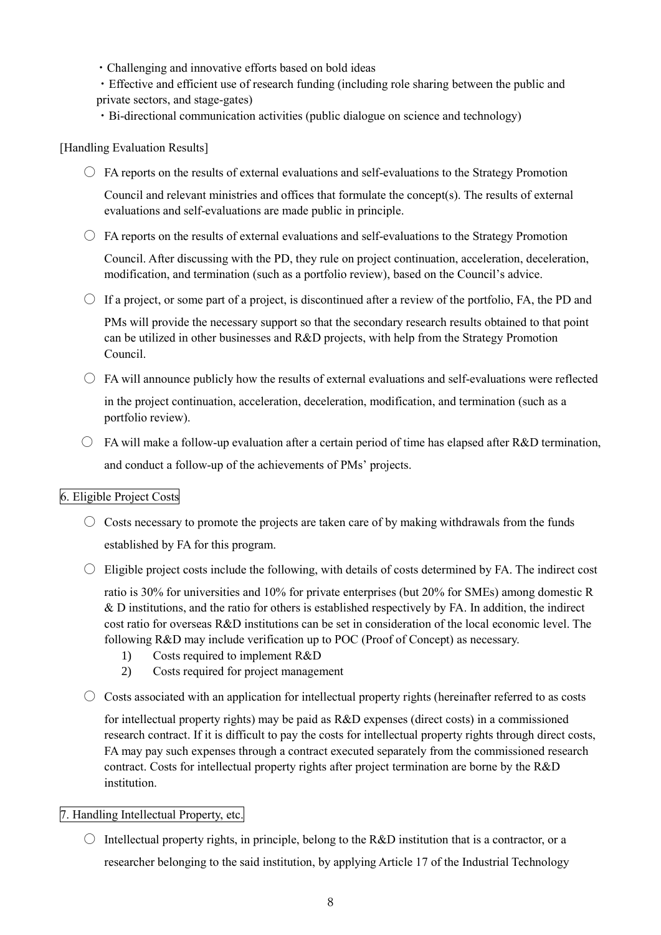- ・Challenging and innovative efforts based on bold ideas
- ・Effective and efficient use of research funding (including role sharing between the public and private sectors, and stage-gates)
- ・Bi-directional communication activities (public dialogue on science and technology)

## [Handling Evaluation Results]

 $\circ$  FA reports on the results of external evaluations and self-evaluations to the Strategy Promotion

Council and relevant ministries and offices that formulate the concept(s). The results of external evaluations and self-evaluations are made public in principle.

 $\bigcirc$  FA reports on the results of external evaluations and self-evaluations to the Strategy Promotion

Council. After discussing with the PD, they rule on project continuation, acceleration, deceleration, modification, and termination (such as a portfolio review), based on the Council's advice.

 $\circ$  If a project, or some part of a project, is discontinued after a review of the portfolio, FA, the PD and

PMs will provide the necessary support so that the secondary research results obtained to that point can be utilized in other businesses and R&D projects, with help from the Strategy Promotion Council.

- $\circ$  FA will announce publicly how the results of external evaluations and self-evaluations were reflected in the project continuation, acceleration, deceleration, modification, and termination (such as a portfolio review).
- $\bigcirc$  FA will make a follow-up evaluation after a certain period of time has elapsed after R&D termination, and conduct a follow-up of the achievements of PMs' projects.

## 6. Eligible Project Costs

- $\circ$  Costs necessary to promote the projects are taken care of by making withdrawals from the funds established by FA for this program.
- $\bigcirc$  Eligible project costs include the following, with details of costs determined by FA. The indirect cost

ratio is 30% for universities and 10% for private enterprises (but 20% for SMEs) among domestic R & D institutions, and the ratio for others is established respectively by FA. In addition, the indirect cost ratio for overseas R&D institutions can be set in consideration of the local economic level. The following R&D may include verification up to POC (Proof of Concept) as necessary.

- 1) Costs required to implement R&D
- 2) Costs required for project management
- $\circ$  Costs associated with an application for intellectual property rights (hereinafter referred to as costs

for intellectual property rights) may be paid as R&D expenses (direct costs) in a commissioned research contract. If it is difficult to pay the costs for intellectual property rights through direct costs, FA may pay such expenses through a contract executed separately from the commissioned research contract. Costs for intellectual property rights after project termination are borne by the R&D institution.

#### 7. Handling Intellectual Property, etc.

 $\circ$  Intellectual property rights, in principle, belong to the R&D institution that is a contractor, or a researcher belonging to the said institution, by applying Article 17 of the Industrial Technology